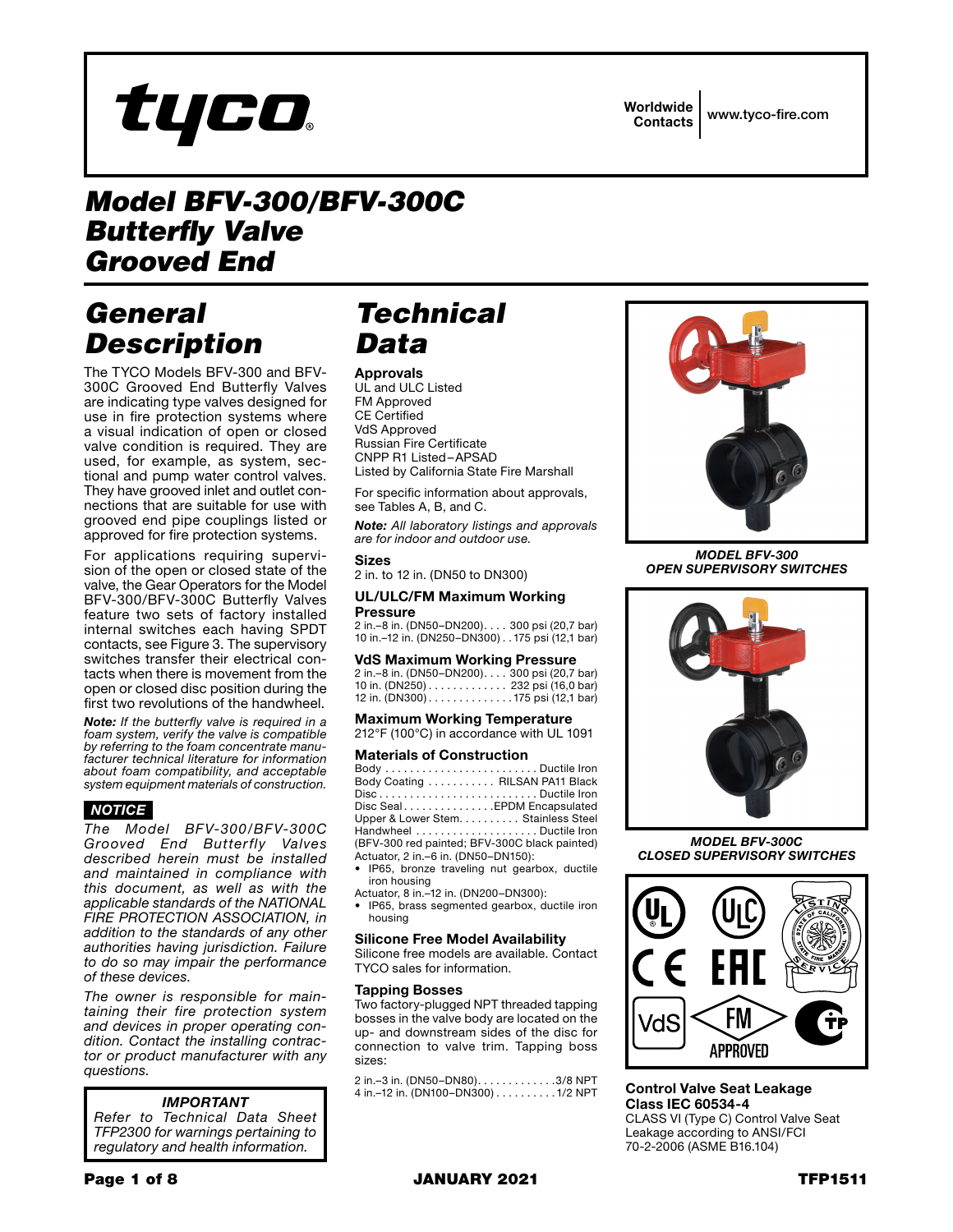# tyco

Worldwide

Contacts www.tyco-fire.com

### *Model BFV-300/BFV-300C Butterfly Valve Grooved End*

# *General Description*

The TYCO Models BFV-300 and BFV-300C Grooved End Butterfly Valves are indicating type valves designed for use in fire protection systems where a visual indication of open or closed valve condition is required. They are used, for example, as system, sectional and pump water control valves. They have grooved inlet and outlet connections that are suitable for use with grooved end pipe couplings listed or approved for fire protection systems.

For applications requiring supervision of the open or closed state of the valve, the Gear Operators for the Model BFV-300/BFV-300C Butterfly Valves feature two sets of factory installed internal switches each having SPDT contacts, see Figure 3. The supervisory switches transfer their electrical contacts when there is movement from the open or closed disc position during the first two revolutions of the handwheel.

*Note: If the butterfly valve is required in a foam system, verify the valve is compatible by referring to the foam concentrate manufacturer technical literature for information about foam compatibility, and acceptable system equipment materials of construction.*

### *NOTICE*

*The Model BFV-300/BFV-300C Grooved End Butterfly Valves described herein must be installed and maintained in compliance with this document, as well as with the applicable standards of the NATIONAL FIRE PROTECTION ASSOCIATION, in addition to the standards of any other authorities having jurisdiction. Failure to do so may impair the performance of these devices.*

*The owner is responsible for maintaining their fire protection system and devices in proper operating condition. Contact the installing contractor or product manufacturer with any questions.*

### *IMPORTANT*

*Refer to Technical Data Sheet TFP2300 for warnings pertaining to regulatory and health information.*

# *Technical Data*

#### Approvals

UL and ULC Listed FM Approved CE Certified VdS Approved Russian Fire Certificate CNPP R1 Listed–APSAD Listed by California State Fire Marshall

For specific information about approvals, see Tables A, B, and C.

*Note: All laboratory listings and approvals are for indoor and outdoor use.*

### Sizes

2 in. to 12 in. (DN50 to DN300)

#### UL/ULC/FM Maximum Working Pressure

2 in.–8 in. (DN50–DN200). . . 300 psi (20,7 bar) 10 in.–12 in. (DN250–DN300). . 175 psi (12,1 bar)

### VdS Maximum Working Pressure

2 in.–8 in. (DN50–DN200). . . 300 psi (20,7 bar) 10 in. (DN250). . . 232 psi (16,0 bar) 12 in. (DN300).............175 psi (12,1 bar)

Maximum Working Temperature 212°F (100°C) in accordance with UL 1091

### Materials of Construction<br>Body *masses construction* Ductile from

Body . . . . . . . . . . . . . . . . . . . . . . . . . Ductile Iron Body Coating . . . . . . . . . . . RILSAN PA11 Black Disc . . . . . . . . . . . . . . . . . . . . . . . . . . Ductile Iron Disc Seal. . . . . . . . . . . . . . EPDM Encapsulated Upper & Lower Stem. . . . . . . . . Stainless Steel Handwheel . . . . . . . . . . . . . . . . . . . . Ductile Iron (BFV-300 red painted; BFV-300C black painted) Actuator, 2 in.–6 in. (DN50–DN150):

• IP65, bronze traveling nut gearbox, ductile iron housing

- Actuator, 8 in.–12 in. (DN200–DN300):
- IP65, brass segmented gearbox, ductile iron housing

#### Silicone Free Model Availability

Silicone free models are available. Contact TYCO sales for information.

#### Tapping Bosses

Two factory-plugged NPT threaded tapping bosses in the valve body are located on the up- and downstream sides of the disc for connection to valve trim. Tapping boss sizes:

2 in. –3 in. (DN50–DN80). . . . . . . . . . . . . 3/8 NPT 4 in.–12 in. (DN100–DN300)..........1/2 NPT



*MODEL BFV-300 OPEN SUPERVISORY SWITCHES*



*MODEL BFV-300C CLOSED SUPERVISORY SWITCHES*



Control Valve Seat Leakage Class IEC 60534-4

CLASS VI (Type C) Control Valve Seat Leakage according to ANSI/FCI 70-2-2006 (ASME B16.104)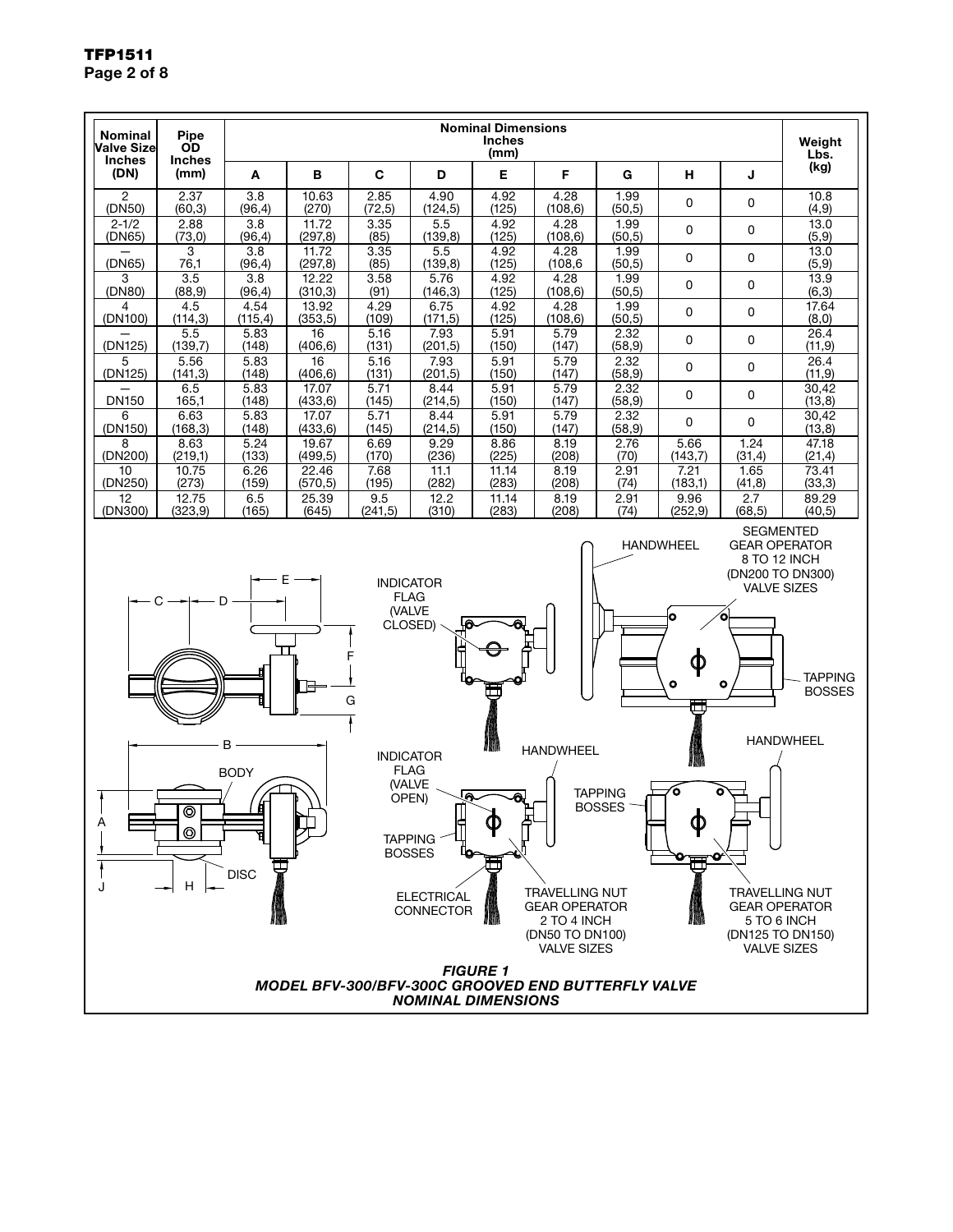

### TFP1511 Page 2 of 8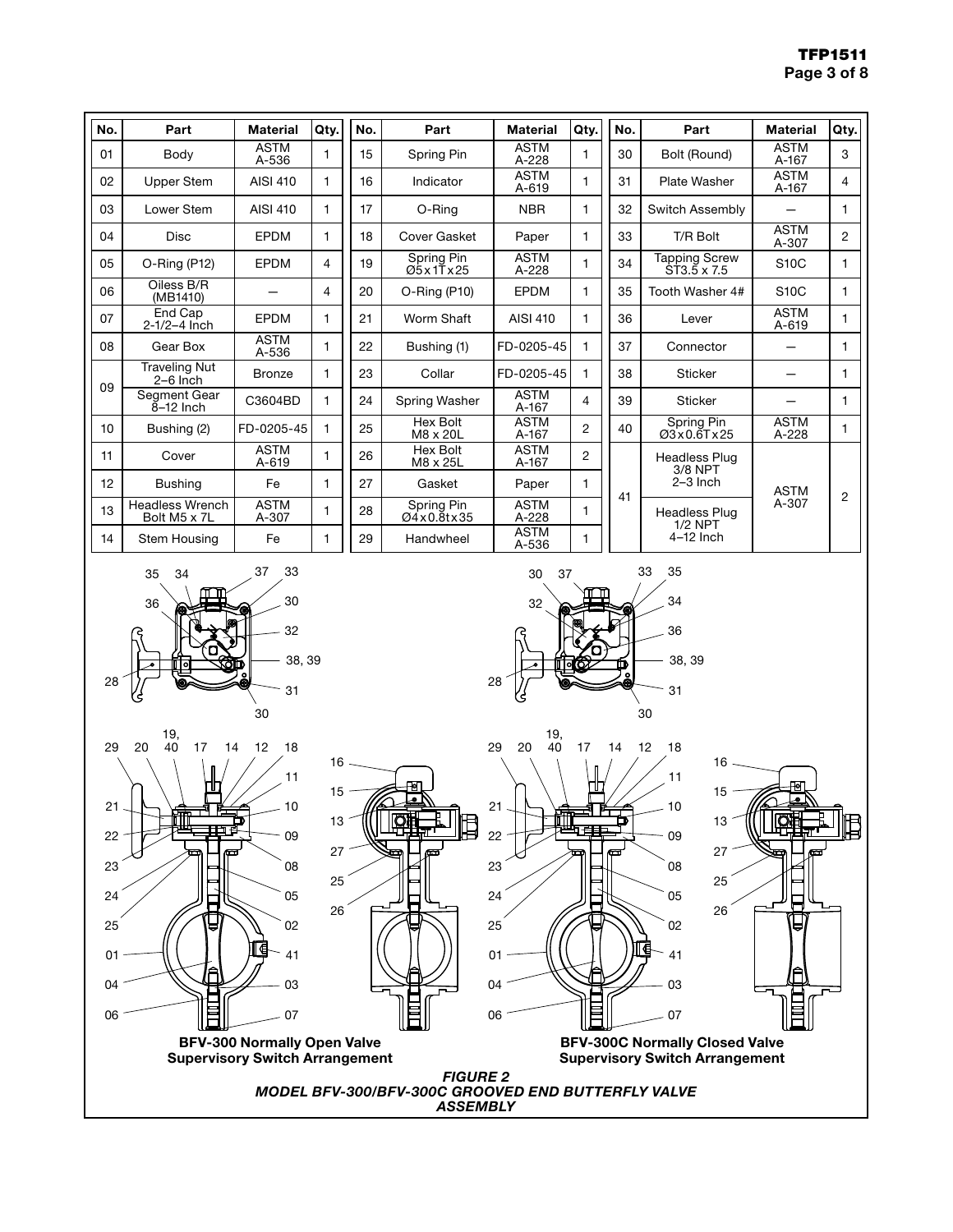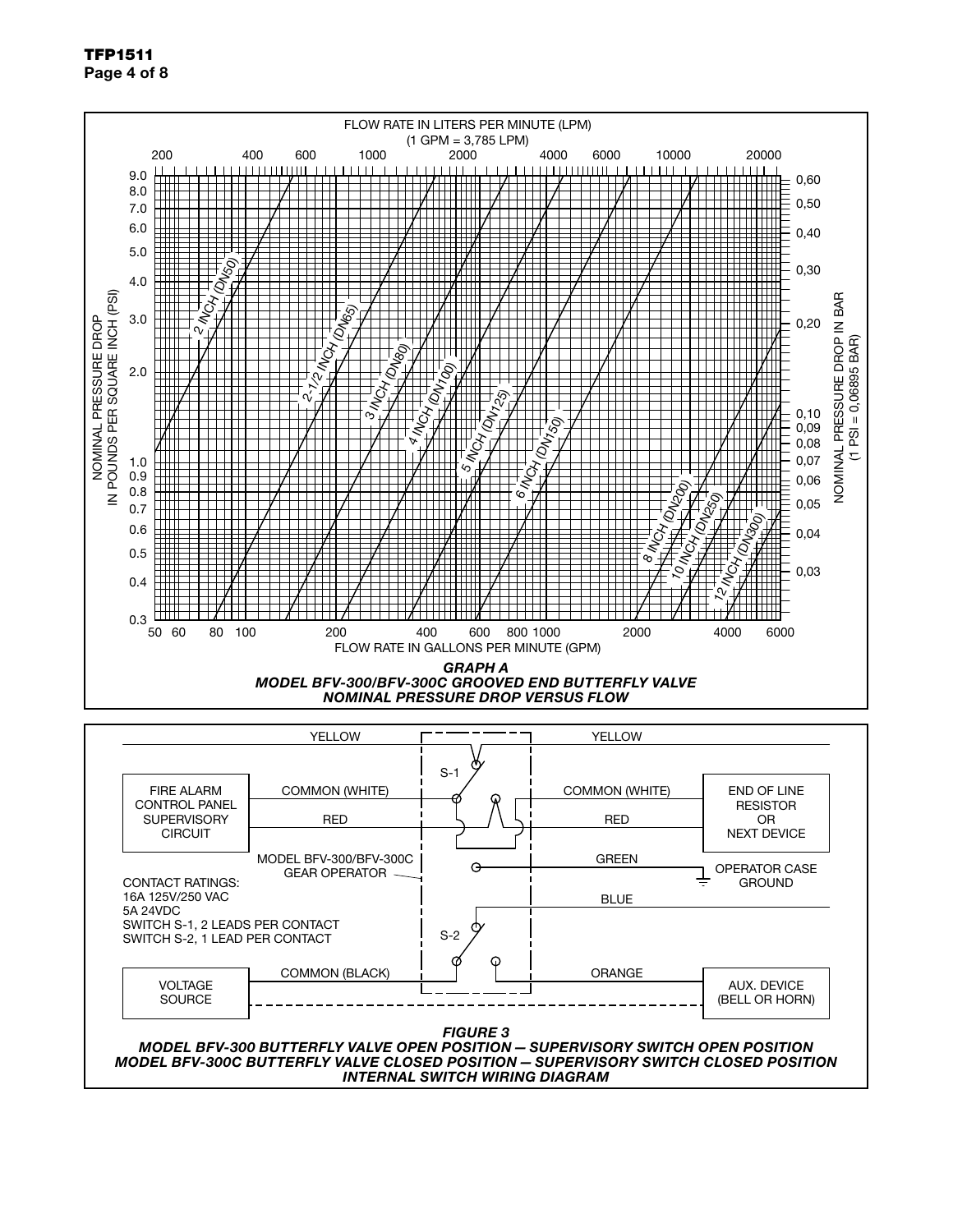TFP1511 Page 4 of 8



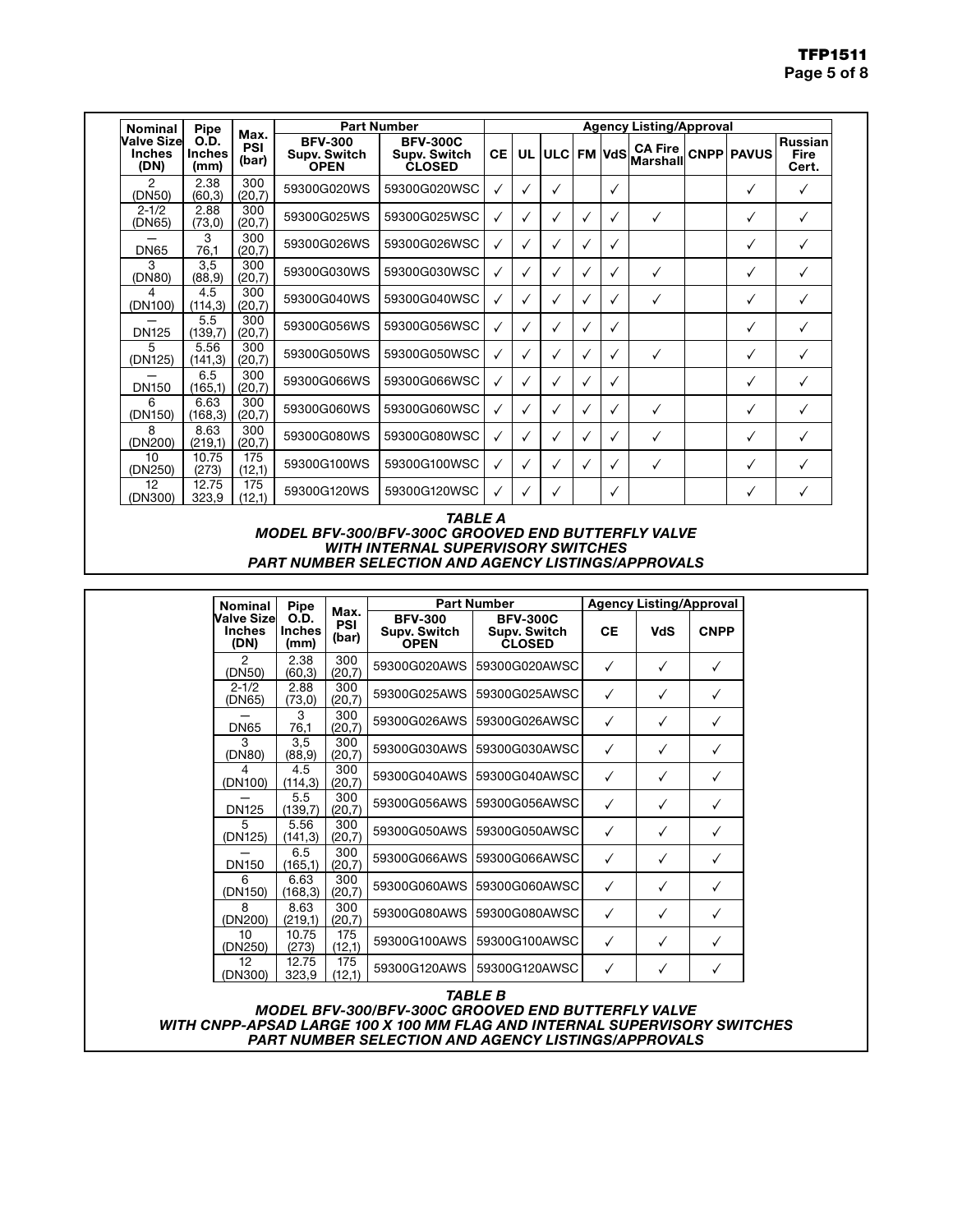| <b>Nominal</b>                       | Pipe                                 |                      | <b>Part Number</b>                            |                                                  |    | <b>Agency Listing/Approval</b> |        |   |               |                             |  |                   |                                 |  |
|--------------------------------------|--------------------------------------|----------------------|-----------------------------------------------|--------------------------------------------------|----|--------------------------------|--------|---|---------------|-----------------------------|--|-------------------|---------------------------------|--|
| Valve Sizel<br><b>Inches</b><br>(DN) | <b>O.D.</b><br><b>Inches</b><br>(mm) | Max.<br>PSI<br>(bar) | <b>BFV-300</b><br>Supv. Switch<br><b>OPEN</b> | <b>BFV-300C</b><br>Supv. Switch<br><b>CLOSED</b> | CE |                                | UL ULC |   | <b>FM VdS</b> | <b>CA Fire</b><br>lMarshall |  | <b>CNPP PAVUS</b> | <b>Russian</b><br>Fire<br>Cert. |  |
| 2<br>(DN50)                          | 2.38<br>(60, 3)                      | 300<br>(20,7)        | 59300G020WS                                   | 59300G020WSC                                     |    | $\checkmark$                   | V      |   | √             |                             |  |                   | ✓                               |  |
| $2 - 1/2$<br>(DN65)                  | 2.88<br>(73,0)                       | 300<br>(20,7)        | 59300G025WS                                   | 59300G025WSC                                     |    | $\checkmark$                   | ✓      | √ | ✓             | √                           |  |                   | ✓                               |  |
| <b>DN65</b>                          | 3<br>76,1                            | 300<br>(20,7)        | 59300G026WS                                   | 59300G026WSC                                     |    | √                              |        | √ | √             |                             |  |                   | ✓                               |  |
| 3<br>(DN80)                          | 3,5<br>(88, 9)                       | 300<br>(20,7)        | 59300G030WS                                   | 59300G030WSC                                     | ✓  | √                              |        | v | ✓             | ✓                           |  |                   | ✓                               |  |
| 4<br>(DN100)                         | 4.5<br>(114, 3)                      | 300<br>(20,7)        | 59300G040WS                                   | 59300G040WSC                                     |    | $\checkmark$                   | √      | v | $\checkmark$  | ✓                           |  |                   | ✓                               |  |
| <b>DN125</b>                         | 5.5<br>(139,7)                       | 300<br>(20,7)        | 59300G056WS                                   | 59300G056WSC                                     | √  | √                              |        | √ | $\checkmark$  |                             |  |                   | ✓                               |  |
| 5<br>(DN125)                         | 5.56<br>(141, 3)                     | 300<br>(20,7)        | 59300G050WS                                   | 59300G050WSC                                     |    | $\checkmark$                   | √      | V | $\checkmark$  | ✓                           |  |                   | ✓                               |  |
| <b>DN150</b>                         | 6.5<br>(165,1)                       | 300<br>(20,7)        | 59300G066WS                                   | 59300G066WSC                                     |    | $\checkmark$                   | √      | √ | √             |                             |  |                   | ✓                               |  |
| 6<br>(DN150)                         | 6.63<br>(168, 3)                     | 300<br>(20,7)        | 59300G060WS                                   | 59300G060WSC                                     |    | √                              | ✓      | √ | ✓             | ✓                           |  |                   | ✓                               |  |
| 8<br>(DN200)                         | 8.63<br>(219,1)                      | 300<br>(20,7)        | 59300G080WS                                   | 59300G080WSC                                     |    |                                |        | v | √             | ✓                           |  |                   |                                 |  |
| 10<br>(DN250)                        | 10.75<br>(273)                       | 175<br>(12,1)        | 59300G100WS                                   | 59300G100WSC                                     |    | √                              | ✓      | v | ✓             | √                           |  |                   | ✓                               |  |
| 12<br>(DN300)                        | 12.75<br>323,9                       | 175<br>(12,1)        | 59300G120WS                                   | 59300G120WSC                                     |    |                                |        |   | $\checkmark$  |                             |  |                   | ✓                               |  |

*TABLE A MODEL BFV-300/BFV-300C GROOVED END BUTTERFLY VALVE WITH INTERNAL SUPERVISORY SWITCHES PART NUMBER SELECTION AND AGENCY LISTINGS/APPROVALS*

| Nominal                                    | <b>Pipe</b>                          |                      |                                                      | <b>Part Number</b>                                                                                                                     |              | <b>Agency Listing/Approval</b> |              |  |
|--------------------------------------------|--------------------------------------|----------------------|------------------------------------------------------|----------------------------------------------------------------------------------------------------------------------------------------|--------------|--------------------------------|--------------|--|
| <b>Valve Size</b><br><b>Inches</b><br>(DN) | <b>O.D.</b><br><b>Inches</b><br>(mm) | Max.<br>PSI<br>(bar) | <b>BFV-300</b><br><b>Supv. Switch</b><br><b>OPEN</b> | <b>BFV-300C</b><br><b>Supv. Switch</b><br><b>CLOSED</b>                                                                                | <b>CE</b>    | <b>VdS</b>                     | <b>CNPP</b>  |  |
| 2<br>(DN50)                                | 2.38<br>(60, 3)                      | 300<br>(20,7)        |                                                      | 59300G020AWS 159300G020AWSC                                                                                                            | $\checkmark$ | $\checkmark$                   | $\checkmark$ |  |
| $2 - 1/2$<br>(DN65)                        | 2.88<br>(73,0)                       | 300<br>(20,7)        |                                                      | 59300G025AWS 159300G025AWSC                                                                                                            | $\checkmark$ | ✓                              | ✓            |  |
| <b>DN65</b>                                | 3<br>76,1                            | 300<br>(20,7)        |                                                      | 59300G026AWS 159300G026AWSC                                                                                                            | $\checkmark$ | ✓                              | ✓            |  |
| 3<br>(DN80)                                | 3,5<br>(88, 9)                       | 300<br>(20,7)        |                                                      | 59300G030AWS 159300G030AWSC                                                                                                            | $\checkmark$ | $\checkmark$                   | ✓            |  |
| 4<br>(DN100)                               | 4.5<br>(114, 3)                      | 300<br>(20,7)        |                                                      | 59300G040AWS 159300G040AWSC                                                                                                            | $\checkmark$ | $\checkmark$                   | ✓            |  |
| <b>DN125</b>                               | 5.5<br>(139,7)                       | 300<br>(20,7)        |                                                      | 59300G056AWS 159300G056AWSC                                                                                                            | $\checkmark$ | ✓                              | ✓            |  |
| 5<br>(DN125)                               | 5.56<br>(141, 3)                     | 300<br>(20,7)        |                                                      | 59300G050AWS 159300G050AWSC                                                                                                            | $\checkmark$ | ✓                              | ✓            |  |
| <b>DN150</b>                               | 6.5<br>(165,1)                       | 300<br>(20,7)        |                                                      | 59300G066AWS 159300G066AWSC                                                                                                            | $\checkmark$ | $\checkmark$                   | ✓            |  |
| 6<br>(DN150)                               | 6.63<br>(168, 3)                     | 300<br>(20,7)        |                                                      | 59300G060AWS 59300G060AWSC                                                                                                             | $\checkmark$ | ✓                              | ✓            |  |
| 8<br>(DN200)                               | 8.63<br>(219,1)                      | 300<br>(20,7)        |                                                      | 59300G080AWS 159300G080AWSC                                                                                                            | $\checkmark$ | ✓                              | ✓            |  |
| 10<br>(DN250)                              | 10.75<br>(273)                       | 175<br>(12,1)        |                                                      | 59300G100AWS 159300G100AWSC                                                                                                            | $\checkmark$ | $\checkmark$                   | ✓            |  |
| 12<br>(DN300)                              | 12.75<br>323,9                       | 175<br>(12,1)        |                                                      | 59300G120AWS 59300G120AWSC                                                                                                             | $\checkmark$ | ✓                              | ✓            |  |
|                                            |                                      |                      |                                                      | <b>TABLE B</b>                                                                                                                         |              |                                |              |  |
|                                            |                                      |                      |                                                      | <b>MODEL BFV-300/BFV-300C GROOVED END BUTTERFLY VALVE</b><br>WITH CNPP-APSAD LARGE 100 X 100 MM FLAG AND INTERNAL SUPERVISORY SWITCHES |              |                                |              |  |

*PART NUMBER SELECTION AND AGENCY LISTINGS/APPROVALS*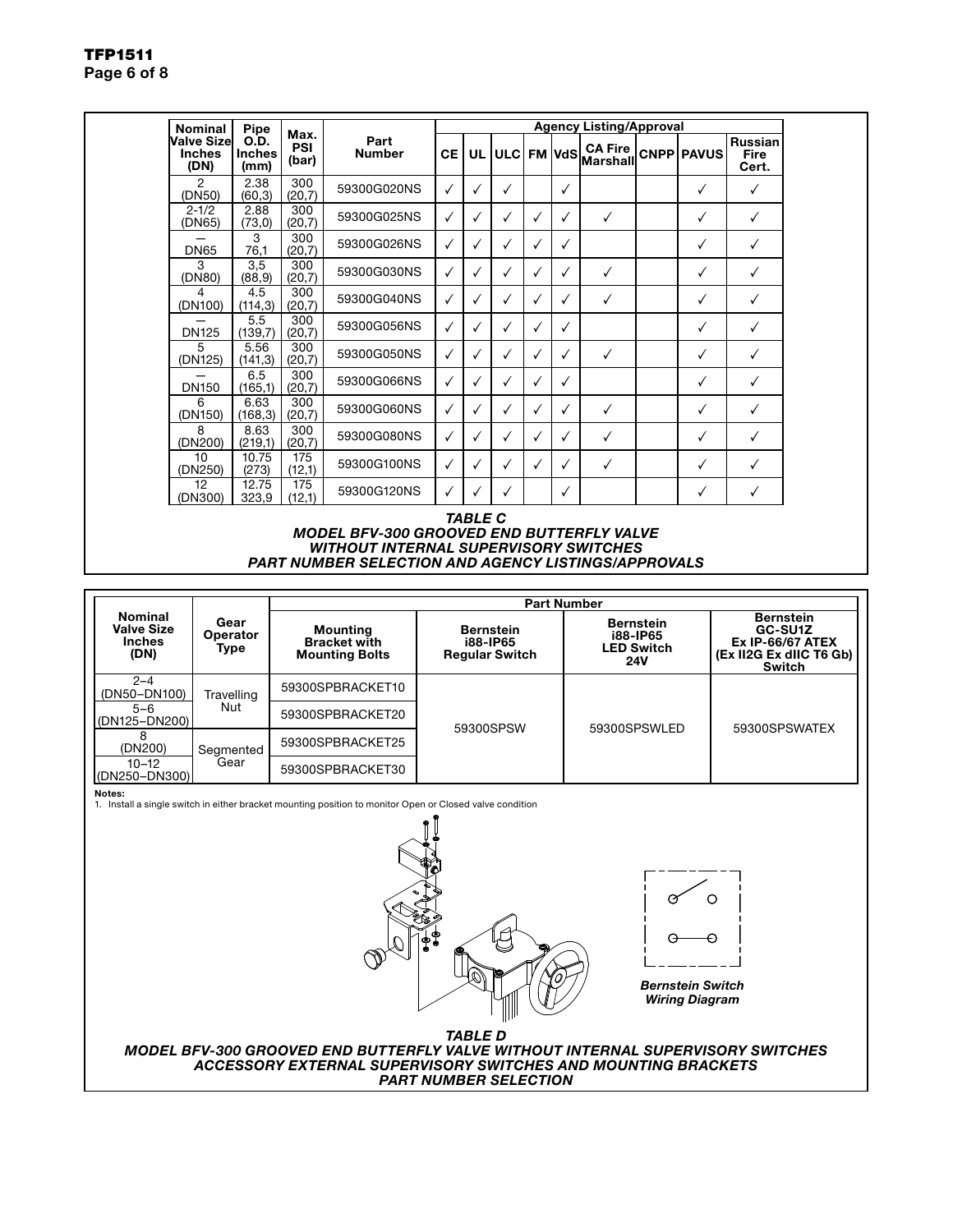| <b>Nominal</b>                              | <b>Pipe</b>                   |                             |                       | <b>Agency Listing/Approval</b> |              |              |   |   |                                |  |                   |                                        |
|---------------------------------------------|-------------------------------|-----------------------------|-----------------------|--------------------------------|--------------|--------------|---|---|--------------------------------|--|-------------------|----------------------------------------|
| <b>Valve Sizel</b><br><b>Inches</b><br>(DN) | O.D.<br><b>Inches</b><br>(mm) | Max.<br><b>PSI</b><br>(bar) | Part<br><b>Number</b> | CE I                           |              | UL ULC       |   |   | , FM VdS Marshall <sup>!</sup> |  | <b>CNPP PAVUS</b> | <b>Russian</b><br><b>Fire</b><br>Cert. |
| 2<br>(DN50)                                 | 2.38<br>(60, 3)               | 300<br>(20,7)               | 59300G020NS           | ✓                              | ✓            | √            |   | ✓ |                                |  | ✓                 | $\checkmark$                           |
| $2 - 1/2$<br>(DN65)                         | 2.88<br>(73, 0)               | 300<br>(20,7)               | 59300G025NS           | ✓                              | ✓            | $\checkmark$ | ✓ | ✓ | ✓                              |  | ✓                 | $\checkmark$                           |
| <b>DN65</b>                                 | 3<br>76,1                     | 300<br>(20,7)               | 59300G026NS           | ✓                              | ✓            | ✓            |   | ✓ |                                |  | ✓                 | ✓                                      |
| 3<br>(DN80)                                 | 3,5<br>(88, 9)                | 300<br>(20,7)               | 59300G030NS           | ✓                              | $\checkmark$ | ✓            |   | ✓ | √                              |  | ✓                 | ✓                                      |
| 4<br>(DN100)                                | 4.5<br>(114, 3)               | 300<br>(20,7)               | 59300G040NS           | ✓                              | √            | ✓            | ✓ | ✓ | ✓                              |  | ✓                 | ✓                                      |
| <b>DN125</b>                                | 5.5<br>(139,7)                | 300<br>(20,7)               | 59300G056NS           | ✓                              | $\checkmark$ | ✓            | ✓ | ✓ |                                |  | ✓                 | ✓                                      |
| 5<br>(DN125)                                | 5.56<br>(141, 3)              | 300<br>(20,7)               | 59300G050NS           | ✓                              | ✓            | ✓            | ✓ | ✓ | ✓                              |  | ✓                 | $\checkmark$                           |
| <b>DN150</b>                                | 6.5<br>(165,1)                | 300<br>(20,7)               | 59300G066NS           | ✓                              | √            |              |   | ✓ |                                |  | ✓                 |                                        |
| 6<br>(DN150)                                | 6.63<br>(168, 3)              | 300<br>(20,7)               | 59300G060NS           | $\checkmark$                   | $\checkmark$ | √            |   | ✓ | $\checkmark$                   |  | ✓                 | ✓                                      |
| 8<br>(DN200)                                | 8.63<br>(219,1)               | 300<br>(20,7)               | 59300G080NS           | ✓                              | ✓            | ✓            |   | ✓ | √                              |  | $\checkmark$      | ✓                                      |
| 10<br>(DN250)                               | 10.75<br>(273)                | 175<br>(12,1)               | 59300G100NS           | ✓                              | $\checkmark$ | ✓            |   | ✓ | ✓                              |  | ✓                 | ✓                                      |
| 12<br>(DN300)                               | 12.75<br>323,9                | 175<br>(12,1)               | 59300G120NS           |                                | √            | ✓            |   | ✓ |                                |  | ✓                 | ✓                                      |

*TABLE C MODEL BFV-300 GROOVED END BUTTERFLY VALVE WITHOUT INTERNAL SUPERVISORY SWITCHES PART NUMBER SELECTION AND AGENCY LISTINGS/APPROVALS*

|                                                              |                          |                                                                 | <b>Part Number</b>                                           |                                                          |                                                                                                    |  |
|--------------------------------------------------------------|--------------------------|-----------------------------------------------------------------|--------------------------------------------------------------|----------------------------------------------------------|----------------------------------------------------------------------------------------------------|--|
| <b>Nominal</b><br><b>Valve Size</b><br><b>Inches</b><br>(DN) | Gear<br>Operator<br>Type | <b>Mounting</b><br><b>Bracket with</b><br><b>Mounting Bolts</b> | <b>Bernstein</b><br><b>i88-IP65</b><br><b>Regular Switch</b> | <b>Bernstein</b><br><b>i88-IP65</b><br>LED Switch<br>24V | <b>Bernstein</b><br>GC-SU1Z<br><b>Ex IP-66/67 ATEX</b><br>(Ex II2G Ex dIIC T6 Gb)<br><b>Switch</b> |  |
| $2 - 4$<br>(DN50-DN100)                                      | Travelling               | 59300SPBRACKET10                                                |                                                              |                                                          |                                                                                                    |  |
| $5 - 6$<br>$ $ (DN125-DN200)                                 | Nut                      | 59300SPBRACKET20                                                | 59300SPSW                                                    | 59300SPSWLED                                             | 59300SPSWATEX                                                                                      |  |
| (DN200)                                                      | Segmented                | 59300SPBRACKET25                                                |                                                              |                                                          |                                                                                                    |  |
| $10 - 12$<br>(DN250-DN300)                                   | Gear                     | 59300SPBRACKET30                                                |                                                              |                                                          |                                                                                                    |  |

Notes:

1. Install a single switch in either bracket mounting position to monitor Open or Closed valve condition



*MODEL BFV-300 GROOVED END BUTTERFLY VALVE WITHOUT INTERNAL SUPERVISORY SWITCHES ACCESSORY EXTERNAL SUPERVISORY SWITCHES AND MOUNTING BRACKETS PART NUMBER SELECTION*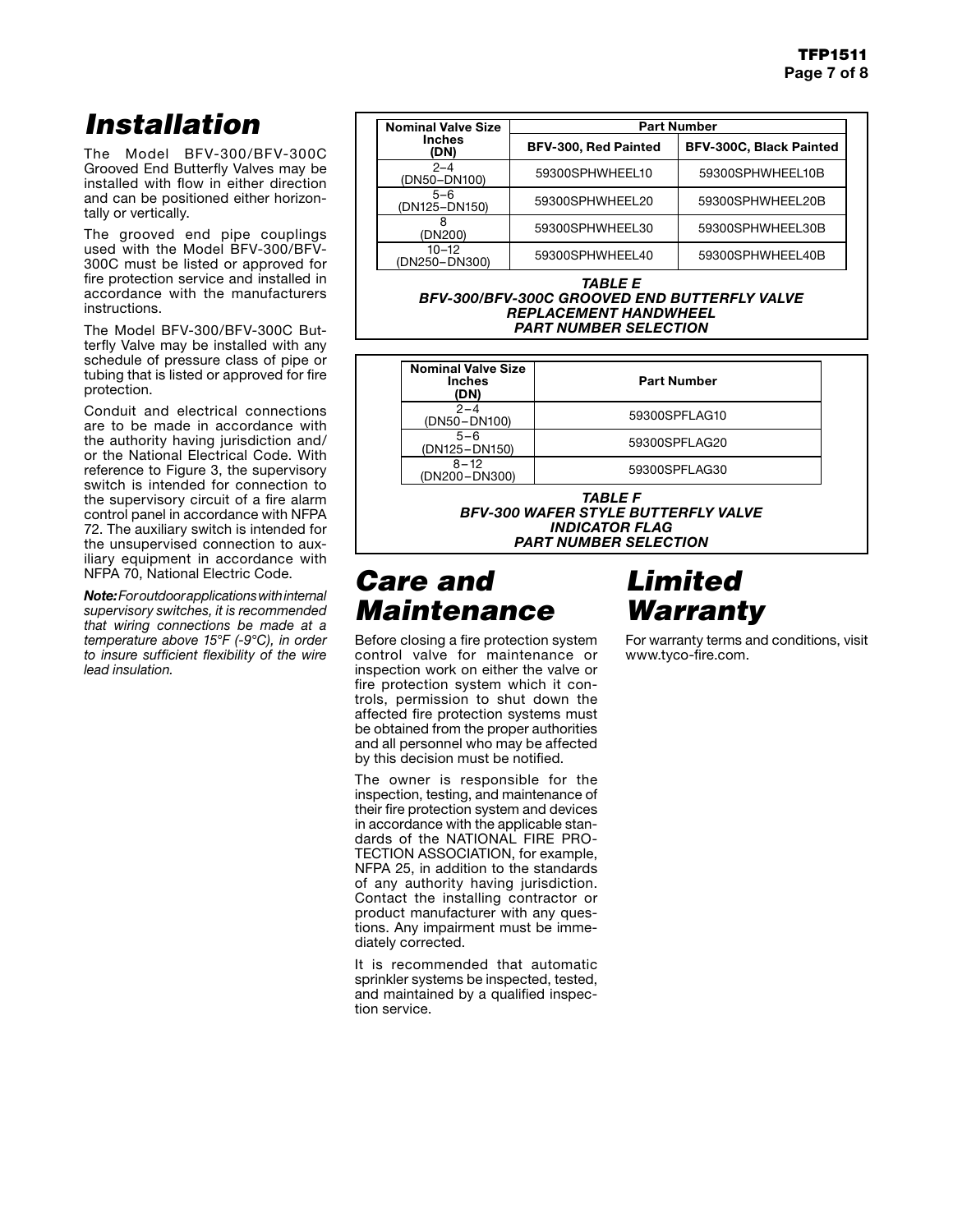# *Installation*

The Model BFV-300/BFV-300C Grooved End Butterfly Valves may be installed with flow in either direction and can be positioned either horizontally or vertically.

The grooved end pipe couplings used with the Model BFV-300/BFV-300C must be listed or approved for fire protection service and installed in accordance with the manufacturers instructions.

The Model BFV-300/BFV-300C Butterfly Valve may be installed with any schedule of pressure class of pipe or tubing that is listed or approved for fire protection.

Conduit and electrical connections are to be made in accordance with the authority having jurisdiction and/ or the National Electrical Code. With reference to Figure 3, the supervisory switch is intended for connection to the supervisory circuit of a fire alarm control panel in accordance with NFPA 72. The auxiliary switch is intended for the unsupervised connection to auxiliary equipment in accordance with NFPA 70, National Electric Code.

*Note: For outdoor applications with internal supervisory switches, it is recommended that wiring connections be made at a temperature above 15°F (-9°C), in order to insure sufficient flexibility of the wire lead insulation.*

| <b>Nominal Valve Size</b>  | <b>Part Number</b>          |                                |  |  |  |  |  |  |
|----------------------------|-----------------------------|--------------------------------|--|--|--|--|--|--|
| <b>Inches</b><br>(DN)      | <b>BFV-300, Red Painted</b> | <b>BFV-300C, Black Painted</b> |  |  |  |  |  |  |
| $2 - 4$<br>(DN50-DN100)    | 59300SPHWHEEL10             | 59300SPHWHEEL10B               |  |  |  |  |  |  |
| $5 - 6$<br>(DN125-DN150)   | 59300SPHWHEEL20             | 59300SPHWHEEL20B               |  |  |  |  |  |  |
| (DN200)                    | 59300SPHWHEEL30             | 59300SPHWHEEL30B               |  |  |  |  |  |  |
| $10 - 12$<br>(DN250-DN300) | 59300SPHWHEEL40             | 59300SPHWHEEL40B               |  |  |  |  |  |  |

*TABLE E BFV-300/BFV-300C GROOVED END BUTTERFLY VALVE REPLACEMENT HANDWHEEL PART NUMBER SELECTION*

| <b>Nominal Valve Size</b><br><b>Inches</b><br>(DN) | <b>Part Number</b> |
|----------------------------------------------------|--------------------|
| $2 - 4$<br>(DN50-DN100)                            | 59300SPFLAG10      |
| $5 - 6$<br>(DN125-DN150)                           | 59300SPFLAG20      |
| $8 - 12$<br>(DN200-DN300)                          | 59300SPFLAG30      |

*TABLE F BFV-300 WAFER STYLE BUTTERFLY VALVE INDICATOR FLAG PART NUMBER SELECTION*

### *Care and Maintenance*

Before closing a fire protection system control valve for maintenance or inspection work on either the valve or fire protection system which it controls, permission to shut down the affected fire protection systems must be obtained from the proper authorities and all personnel who may be affected by this decision must be notified.

The owner is responsible for the inspection, testing, and maintenance of their fire protection system and devices in accordance with the applicable standards of the NATIONAL FIRE PRO-TECTION ASSOCIATION, for example, NFPA 25, in addition to the standards of any authority having jurisdiction. Contact the installing contractor or product manufacturer with any questions. Any impairment must be immediately corrected.

It is recommended that automatic sprinkler systems be inspected, tested, and maintained by a qualified inspection service.

# *Limited Warranty*

For warranty terms and conditions, visit www.tyco-fire.com.